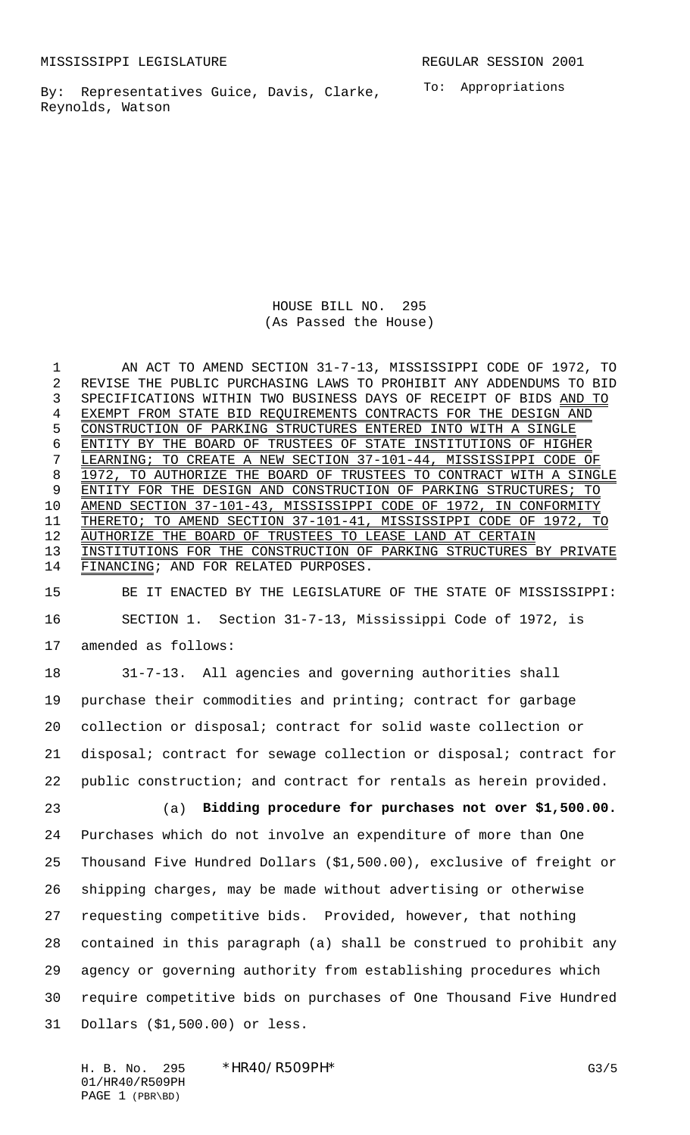By: Representatives Guice, Davis, Clarke, Reynolds, Watson

To: Appropriations

HOUSE BILL NO. 295 (As Passed the House)

 AN ACT TO AMEND SECTION 31-7-13, MISSISSIPPI CODE OF 1972, TO REVISE THE PUBLIC PURCHASING LAWS TO PROHIBIT ANY ADDENDUMS TO BID SPECIFICATIONS WITHIN TWO BUSINESS DAYS OF RECEIPT OF BIDS AND TO EXEMPT FROM STATE BID REQUIREMENTS CONTRACTS FOR THE DESIGN AND CONSTRUCTION OF PARKING STRUCTURES ENTERED INTO WITH A SINGLE ENTITY BY THE BOARD OF TRUSTEES OF STATE INSTITUTIONS OF HIGHER LEARNING; TO CREATE A NEW SECTION 37-101-44, MISSISSIPPI CODE OF 8 1972, TO AUTHORIZE THE BOARD OF TRUSTEES TO CONTRACT WITH A SINGLE ENTITY FOR THE DESIGN AND CONSTRUCTION OF PARKING STRUCTURES; TO AMEND SECTION 37-101-43, MISSISSIPPI CODE OF 1972, IN CONFORMITY THERETO; TO AMEND SECTION 37-101-41, MISSISSIPPI CODE OF 1972, TO AUTHORIZE THE BOARD OF TRUSTEES TO LEASE LAND AT CERTAIN 13 INSTITUTIONS FOR THE CONSTRUCTION OF PARKING STRUCTURES BY PRIVATE FINANCING; AND FOR RELATED PURPOSES.

 BE IT ENACTED BY THE LEGISLATURE OF THE STATE OF MISSISSIPPI: SECTION 1. Section 31-7-13, Mississippi Code of 1972, is amended as follows:

 31-7-13. All agencies and governing authorities shall purchase their commodities and printing; contract for garbage collection or disposal; contract for solid waste collection or disposal; contract for sewage collection or disposal; contract for public construction; and contract for rentals as herein provided.

 (a) **Bidding procedure for purchases not over \$1,500.00.** Purchases which do not involve an expenditure of more than One Thousand Five Hundred Dollars (\$1,500.00), exclusive of freight or shipping charges, may be made without advertising or otherwise requesting competitive bids. Provided, however, that nothing contained in this paragraph (a) shall be construed to prohibit any agency or governing authority from establishing procedures which require competitive bids on purchases of One Thousand Five Hundred Dollars (\$1,500.00) or less.

H. B. No. 295 \*HR40/R509PH\* G3/5 01/HR40/R509PH PAGE 1 (PBR\BD)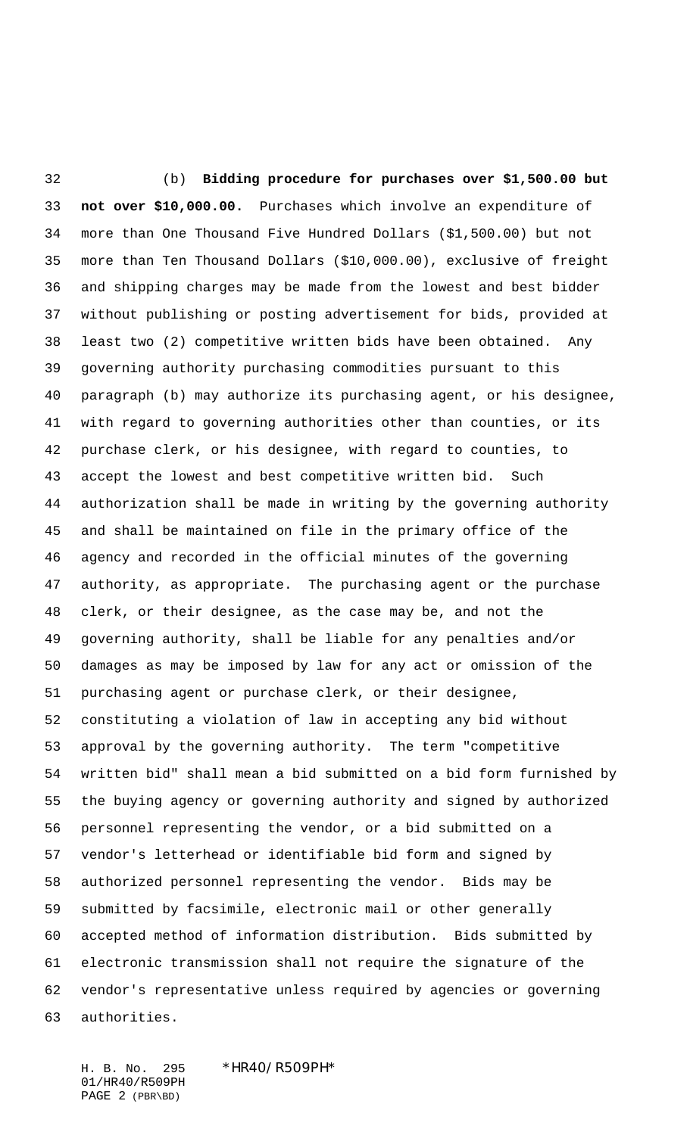(b) **Bidding procedure for purchases over \$1,500.00 but not over \$10,000.00.** Purchases which involve an expenditure of more than One Thousand Five Hundred Dollars (\$1,500.00) but not more than Ten Thousand Dollars (\$10,000.00), exclusive of freight and shipping charges may be made from the lowest and best bidder without publishing or posting advertisement for bids, provided at least two (2) competitive written bids have been obtained. Any governing authority purchasing commodities pursuant to this paragraph (b) may authorize its purchasing agent, or his designee, with regard to governing authorities other than counties, or its purchase clerk, or his designee, with regard to counties, to accept the lowest and best competitive written bid. Such authorization shall be made in writing by the governing authority and shall be maintained on file in the primary office of the agency and recorded in the official minutes of the governing authority, as appropriate. The purchasing agent or the purchase clerk, or their designee, as the case may be, and not the governing authority, shall be liable for any penalties and/or damages as may be imposed by law for any act or omission of the purchasing agent or purchase clerk, or their designee, constituting a violation of law in accepting any bid without approval by the governing authority. The term "competitive written bid" shall mean a bid submitted on a bid form furnished by the buying agency or governing authority and signed by authorized personnel representing the vendor, or a bid submitted on a vendor's letterhead or identifiable bid form and signed by authorized personnel representing the vendor. Bids may be submitted by facsimile, electronic mail or other generally accepted method of information distribution. Bids submitted by electronic transmission shall not require the signature of the vendor's representative unless required by agencies or governing authorities.

H. B. No. 295 \*HR40/R509PH\* 01/HR40/R509PH PAGE 2 (PBR\BD)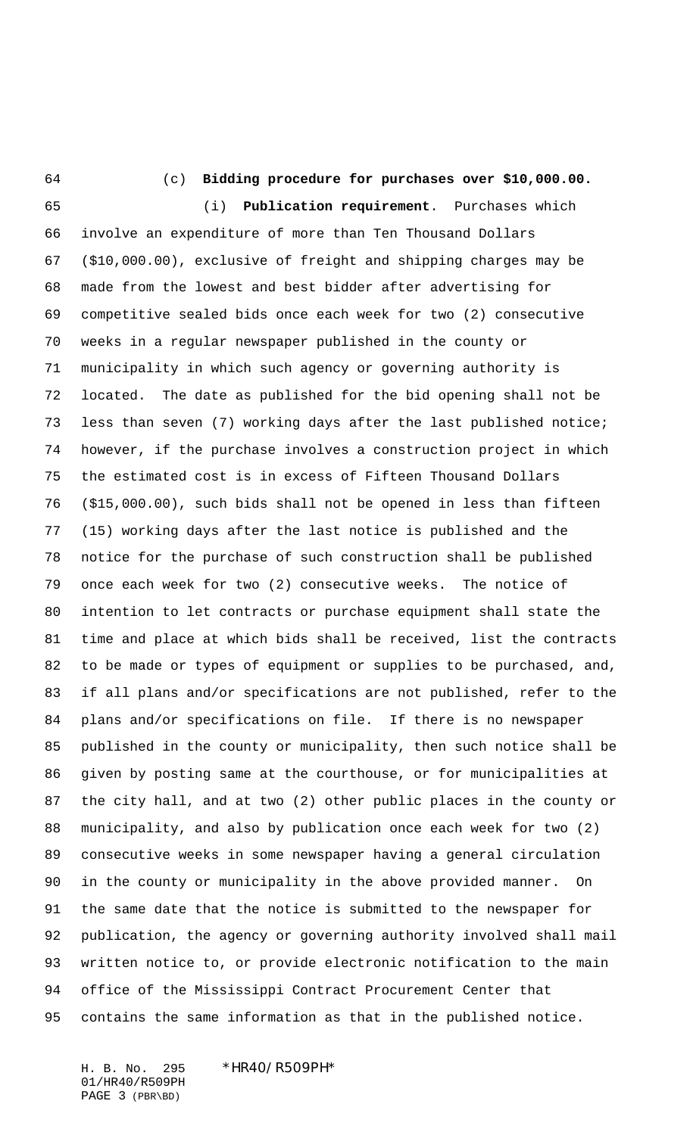(c) **Bidding procedure for purchases over \$10,000.00.**

 (i) **Publication requirement**. Purchases which involve an expenditure of more than Ten Thousand Dollars (\$10,000.00), exclusive of freight and shipping charges may be made from the lowest and best bidder after advertising for competitive sealed bids once each week for two (2) consecutive weeks in a regular newspaper published in the county or municipality in which such agency or governing authority is located. The date as published for the bid opening shall not be less than seven (7) working days after the last published notice; however, if the purchase involves a construction project in which the estimated cost is in excess of Fifteen Thousand Dollars (\$15,000.00), such bids shall not be opened in less than fifteen (15) working days after the last notice is published and the notice for the purchase of such construction shall be published once each week for two (2) consecutive weeks. The notice of intention to let contracts or purchase equipment shall state the time and place at which bids shall be received, list the contracts to be made or types of equipment or supplies to be purchased, and, if all plans and/or specifications are not published, refer to the plans and/or specifications on file. If there is no newspaper published in the county or municipality, then such notice shall be given by posting same at the courthouse, or for municipalities at the city hall, and at two (2) other public places in the county or municipality, and also by publication once each week for two (2) consecutive weeks in some newspaper having a general circulation in the county or municipality in the above provided manner. On the same date that the notice is submitted to the newspaper for publication, the agency or governing authority involved shall mail written notice to, or provide electronic notification to the main office of the Mississippi Contract Procurement Center that contains the same information as that in the published notice.

01/HR40/R509PH PAGE 3 (PBR\BD)

H. B. No. 295 \*HR40/R509PH\*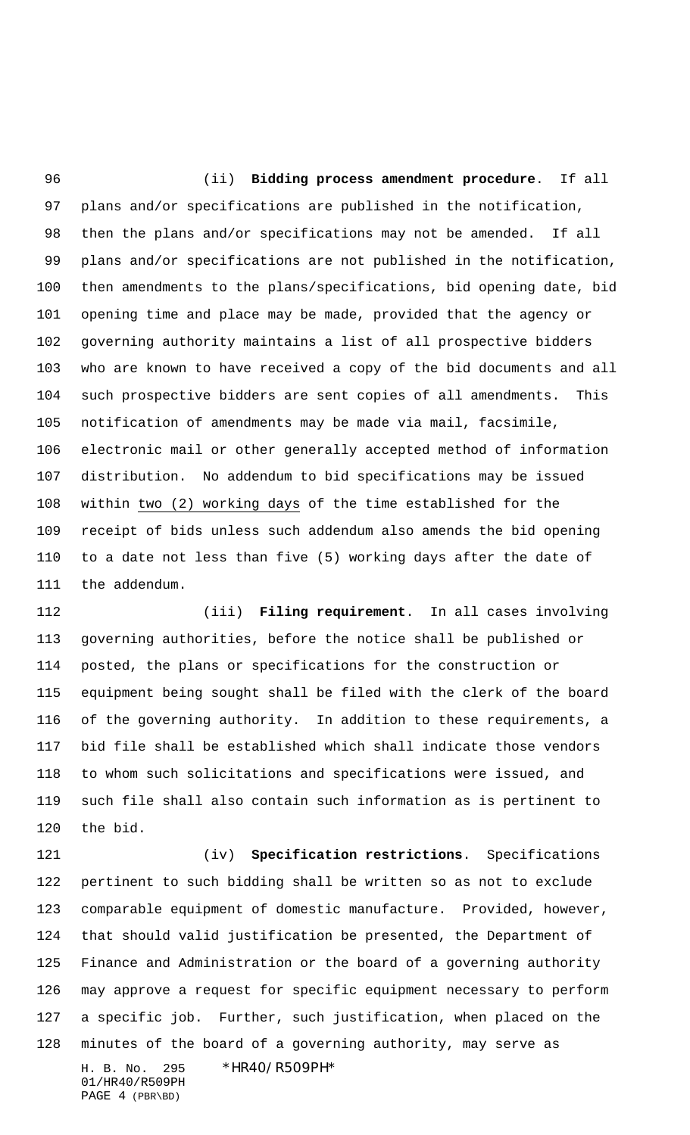(ii) **Bidding process amendment procedure**. If all plans and/or specifications are published in the notification, then the plans and/or specifications may not be amended. If all plans and/or specifications are not published in the notification, then amendments to the plans/specifications, bid opening date, bid opening time and place may be made, provided that the agency or governing authority maintains a list of all prospective bidders who are known to have received a copy of the bid documents and all such prospective bidders are sent copies of all amendments. This notification of amendments may be made via mail, facsimile, electronic mail or other generally accepted method of information distribution. No addendum to bid specifications may be issued within two (2) working days of the time established for the receipt of bids unless such addendum also amends the bid opening to a date not less than five (5) working days after the date of the addendum.

 (iii) **Filing requirement**. In all cases involving governing authorities, before the notice shall be published or posted, the plans or specifications for the construction or equipment being sought shall be filed with the clerk of the board of the governing authority. In addition to these requirements, a bid file shall be established which shall indicate those vendors to whom such solicitations and specifications were issued, and such file shall also contain such information as is pertinent to the bid.

H. B. No. 295 \*HR40/R509PH\* (iv) **Specification restrictions**. Specifications pertinent to such bidding shall be written so as not to exclude comparable equipment of domestic manufacture. Provided, however, that should valid justification be presented, the Department of Finance and Administration or the board of a governing authority may approve a request for specific equipment necessary to perform a specific job. Further, such justification, when placed on the minutes of the board of a governing authority, may serve as

01/HR40/R509PH PAGE 4 (PBR\BD)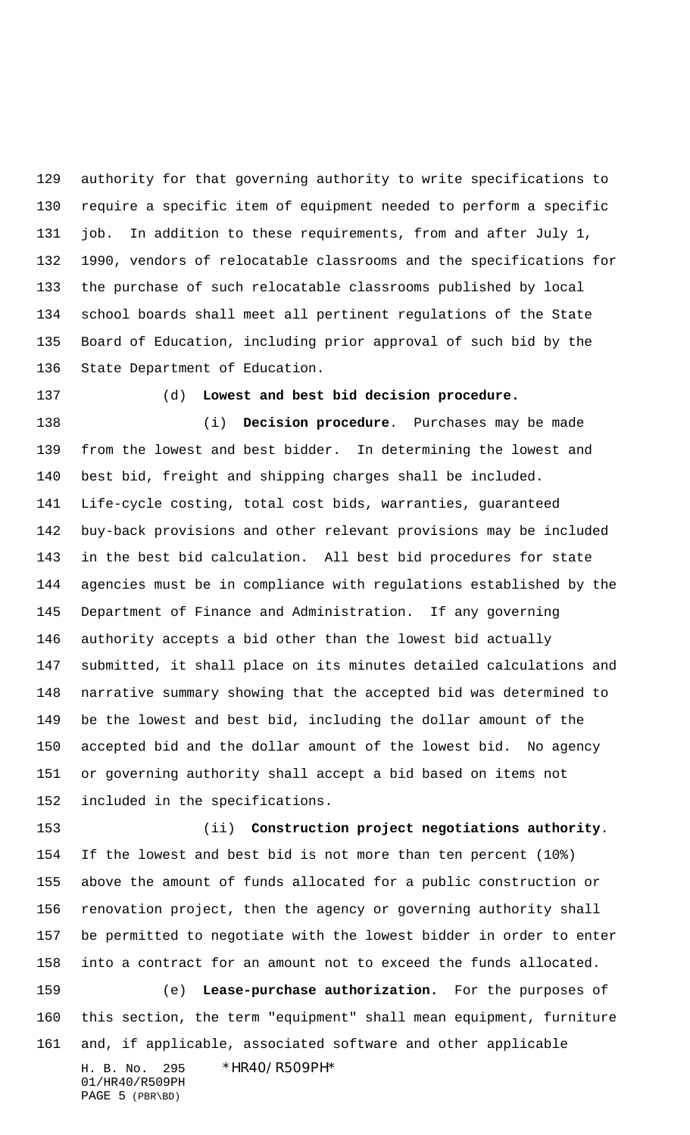authority for that governing authority to write specifications to require a specific item of equipment needed to perform a specific job. In addition to these requirements, from and after July 1, 1990, vendors of relocatable classrooms and the specifications for the purchase of such relocatable classrooms published by local school boards shall meet all pertinent regulations of the State Board of Education, including prior approval of such bid by the State Department of Education.

## (d) **Lowest and best bid decision procedure.**

 (i) **Decision procedure**. Purchases may be made from the lowest and best bidder. In determining the lowest and best bid, freight and shipping charges shall be included. Life-cycle costing, total cost bids, warranties, guaranteed buy-back provisions and other relevant provisions may be included in the best bid calculation. All best bid procedures for state agencies must be in compliance with regulations established by the Department of Finance and Administration. If any governing authority accepts a bid other than the lowest bid actually submitted, it shall place on its minutes detailed calculations and narrative summary showing that the accepted bid was determined to be the lowest and best bid, including the dollar amount of the accepted bid and the dollar amount of the lowest bid. No agency or governing authority shall accept a bid based on items not included in the specifications.

H. B. No. 295 \*HR40/R509PH\* 01/HR40/R509PH PAGE 5 (PBR\BD) (ii) **Construction project negotiations authority**. If the lowest and best bid is not more than ten percent (10%) above the amount of funds allocated for a public construction or renovation project, then the agency or governing authority shall be permitted to negotiate with the lowest bidder in order to enter into a contract for an amount not to exceed the funds allocated. (e) **Lease-purchase authorization.** For the purposes of this section, the term "equipment" shall mean equipment, furniture and, if applicable, associated software and other applicable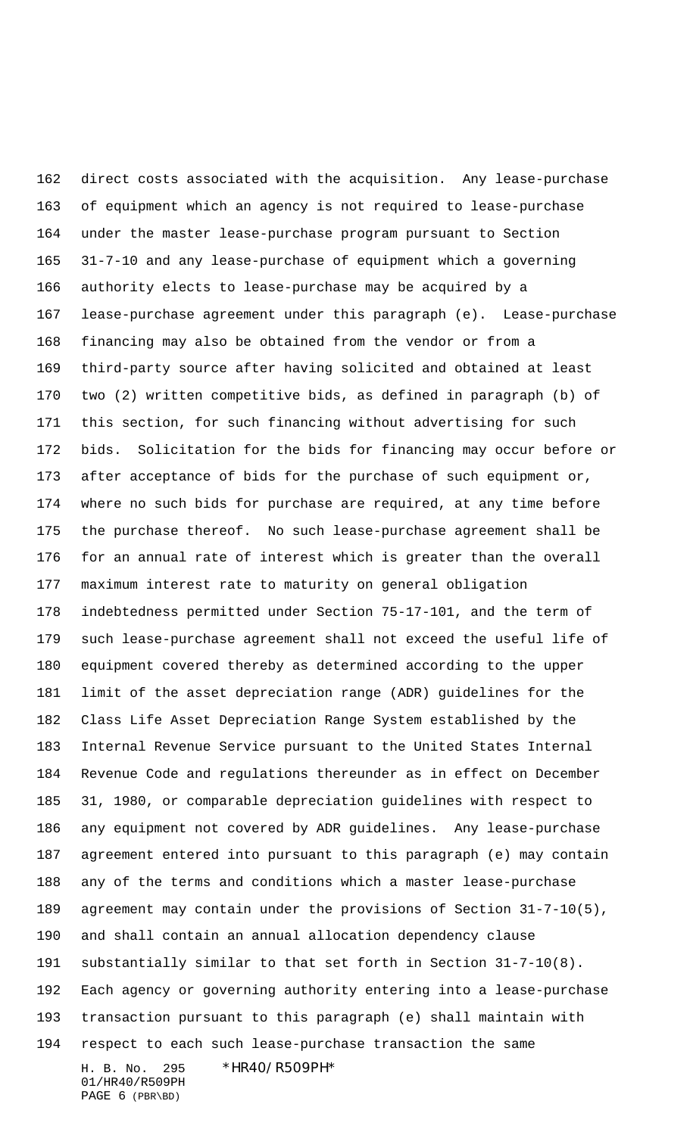H. B. No. 295 \*HR40/R509PH\* direct costs associated with the acquisition. Any lease-purchase of equipment which an agency is not required to lease-purchase under the master lease-purchase program pursuant to Section 31-7-10 and any lease-purchase of equipment which a governing authority elects to lease-purchase may be acquired by a lease-purchase agreement under this paragraph (e). Lease-purchase financing may also be obtained from the vendor or from a third-party source after having solicited and obtained at least two (2) written competitive bids, as defined in paragraph (b) of this section, for such financing without advertising for such bids. Solicitation for the bids for financing may occur before or after acceptance of bids for the purchase of such equipment or, where no such bids for purchase are required, at any time before the purchase thereof. No such lease-purchase agreement shall be for an annual rate of interest which is greater than the overall maximum interest rate to maturity on general obligation indebtedness permitted under Section 75-17-101, and the term of such lease-purchase agreement shall not exceed the useful life of equipment covered thereby as determined according to the upper limit of the asset depreciation range (ADR) guidelines for the Class Life Asset Depreciation Range System established by the Internal Revenue Service pursuant to the United States Internal Revenue Code and regulations thereunder as in effect on December 31, 1980, or comparable depreciation guidelines with respect to any equipment not covered by ADR guidelines. Any lease-purchase agreement entered into pursuant to this paragraph (e) may contain any of the terms and conditions which a master lease-purchase agreement may contain under the provisions of Section 31-7-10(5), and shall contain an annual allocation dependency clause substantially similar to that set forth in Section 31-7-10(8). Each agency or governing authority entering into a lease-purchase transaction pursuant to this paragraph (e) shall maintain with respect to each such lease-purchase transaction the same

01/HR40/R509PH PAGE 6 (PBR\BD)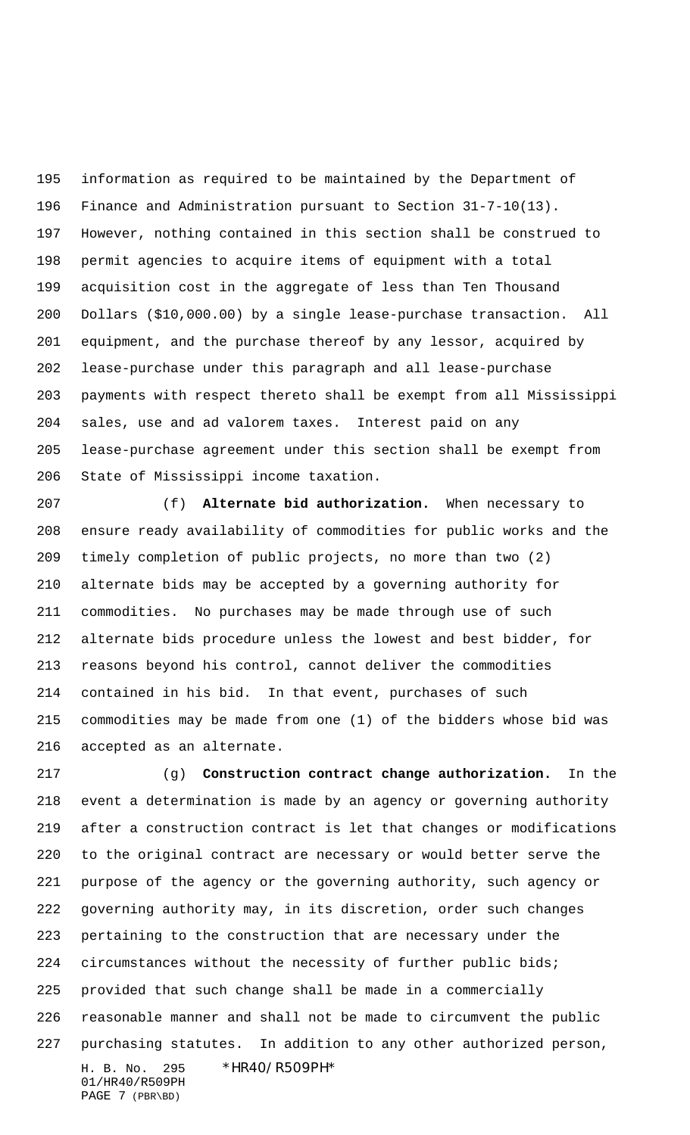information as required to be maintained by the Department of Finance and Administration pursuant to Section 31-7-10(13). However, nothing contained in this section shall be construed to permit agencies to acquire items of equipment with a total acquisition cost in the aggregate of less than Ten Thousand Dollars (\$10,000.00) by a single lease-purchase transaction. All equipment, and the purchase thereof by any lessor, acquired by lease-purchase under this paragraph and all lease-purchase payments with respect thereto shall be exempt from all Mississippi sales, use and ad valorem taxes. Interest paid on any lease-purchase agreement under this section shall be exempt from State of Mississippi income taxation.

 (f) **Alternate bid authorization.** When necessary to ensure ready availability of commodities for public works and the timely completion of public projects, no more than two (2) alternate bids may be accepted by a governing authority for commodities. No purchases may be made through use of such alternate bids procedure unless the lowest and best bidder, for reasons beyond his control, cannot deliver the commodities contained in his bid. In that event, purchases of such commodities may be made from one (1) of the bidders whose bid was accepted as an alternate.

H. B. No. 295 \*HR40/R509PH\* 01/HR40/R509PH (g) **Construction contract change authorization.** In the event a determination is made by an agency or governing authority after a construction contract is let that changes or modifications to the original contract are necessary or would better serve the purpose of the agency or the governing authority, such agency or governing authority may, in its discretion, order such changes pertaining to the construction that are necessary under the circumstances without the necessity of further public bids; provided that such change shall be made in a commercially reasonable manner and shall not be made to circumvent the public purchasing statutes. In addition to any other authorized person,

PAGE 7 (PBR\BD)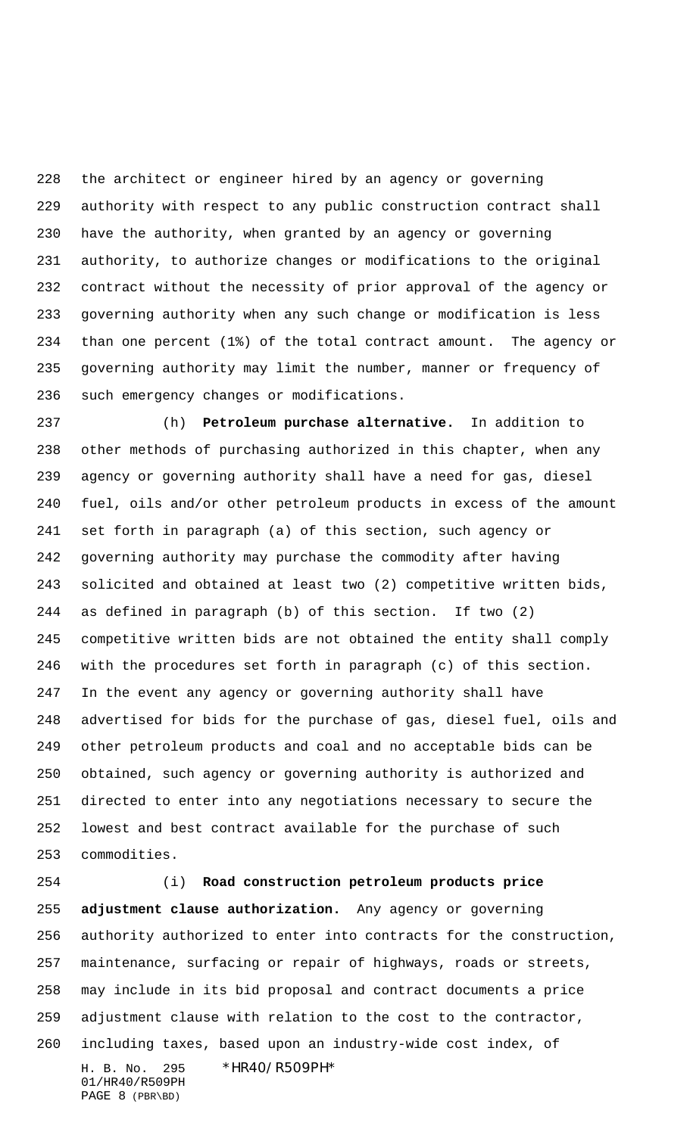the architect or engineer hired by an agency or governing authority with respect to any public construction contract shall have the authority, when granted by an agency or governing authority, to authorize changes or modifications to the original contract without the necessity of prior approval of the agency or governing authority when any such change or modification is less than one percent (1%) of the total contract amount. The agency or governing authority may limit the number, manner or frequency of such emergency changes or modifications.

 (h) **Petroleum purchase alternative.** In addition to other methods of purchasing authorized in this chapter, when any agency or governing authority shall have a need for gas, diesel fuel, oils and/or other petroleum products in excess of the amount set forth in paragraph (a) of this section, such agency or governing authority may purchase the commodity after having solicited and obtained at least two (2) competitive written bids, as defined in paragraph (b) of this section. If two (2) competitive written bids are not obtained the entity shall comply with the procedures set forth in paragraph (c) of this section. In the event any agency or governing authority shall have advertised for bids for the purchase of gas, diesel fuel, oils and other petroleum products and coal and no acceptable bids can be obtained, such agency or governing authority is authorized and directed to enter into any negotiations necessary to secure the lowest and best contract available for the purchase of such commodities.

H. B. No. 295 \*HR40/R509PH\* 01/HR40/R509PH PAGE 8 (PBR\BD) (i) **Road construction petroleum products price adjustment clause authorization.** Any agency or governing authority authorized to enter into contracts for the construction, maintenance, surfacing or repair of highways, roads or streets, may include in its bid proposal and contract documents a price adjustment clause with relation to the cost to the contractor, including taxes, based upon an industry-wide cost index, of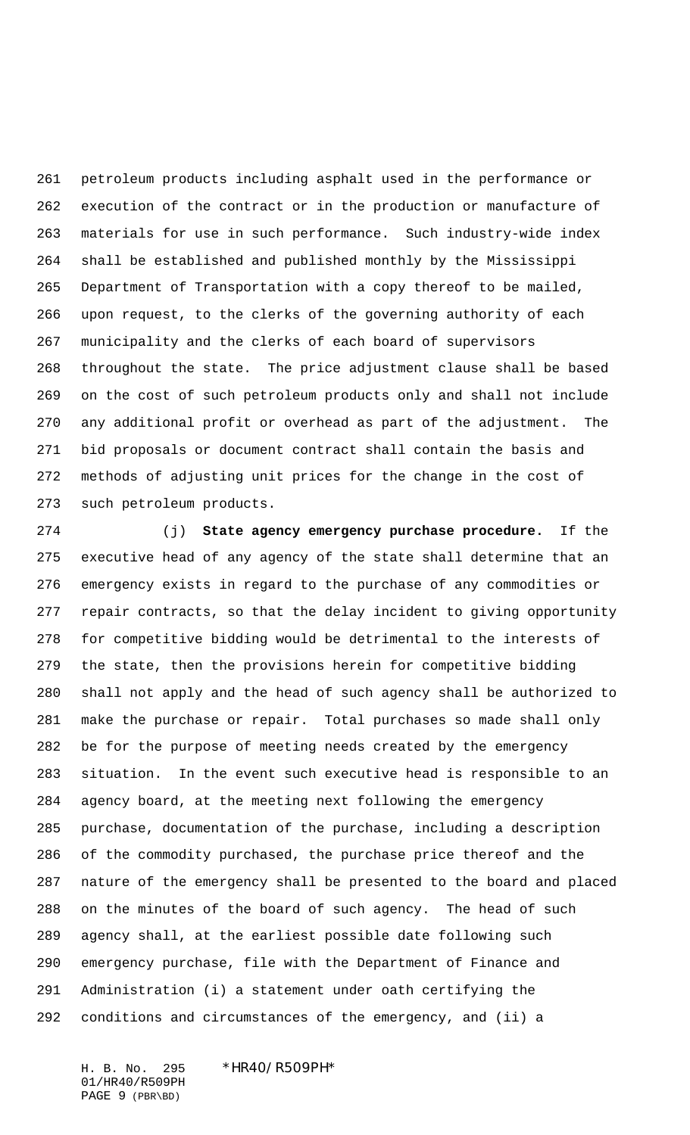petroleum products including asphalt used in the performance or execution of the contract or in the production or manufacture of materials for use in such performance. Such industry-wide index shall be established and published monthly by the Mississippi Department of Transportation with a copy thereof to be mailed, upon request, to the clerks of the governing authority of each municipality and the clerks of each board of supervisors throughout the state. The price adjustment clause shall be based on the cost of such petroleum products only and shall not include any additional profit or overhead as part of the adjustment. The bid proposals or document contract shall contain the basis and methods of adjusting unit prices for the change in the cost of such petroleum products.

 (j) **State agency emergency purchase procedure.** If the executive head of any agency of the state shall determine that an emergency exists in regard to the purchase of any commodities or repair contracts, so that the delay incident to giving opportunity for competitive bidding would be detrimental to the interests of the state, then the provisions herein for competitive bidding shall not apply and the head of such agency shall be authorized to make the purchase or repair. Total purchases so made shall only be for the purpose of meeting needs created by the emergency situation. In the event such executive head is responsible to an agency board, at the meeting next following the emergency purchase, documentation of the purchase, including a description of the commodity purchased, the purchase price thereof and the nature of the emergency shall be presented to the board and placed on the minutes of the board of such agency. The head of such agency shall, at the earliest possible date following such emergency purchase, file with the Department of Finance and Administration (i) a statement under oath certifying the conditions and circumstances of the emergency, and (ii) a

01/HR40/R509PH PAGE 9 (PBR\BD)

## H. B. No. 295 \*HR40/R509PH\*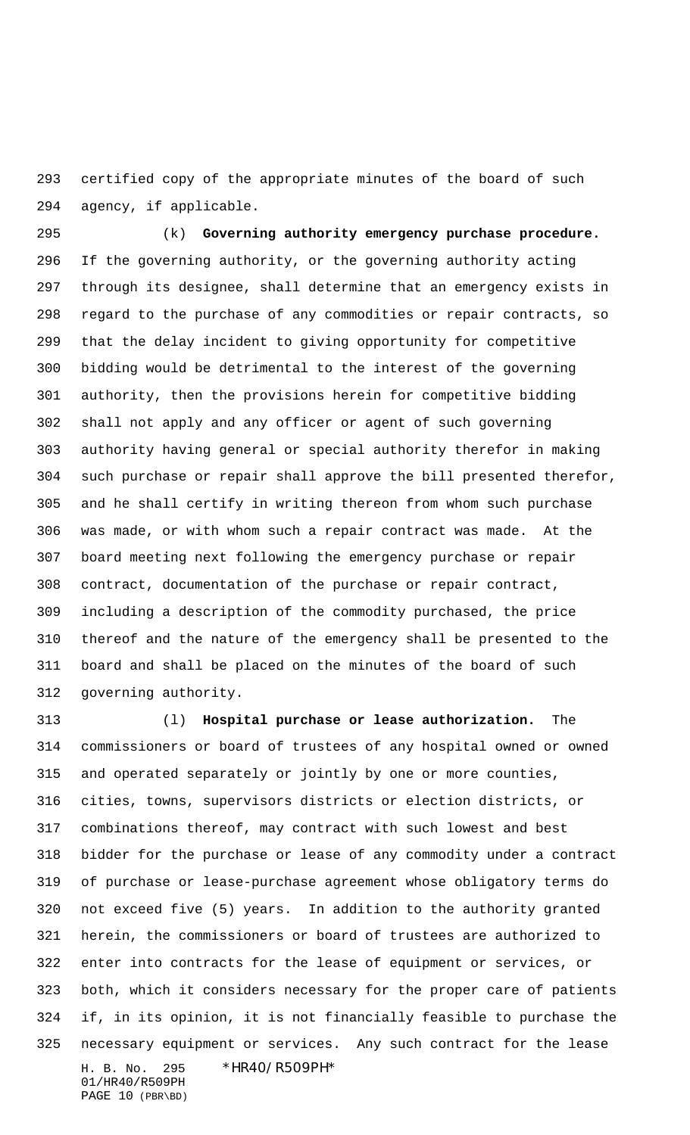certified copy of the appropriate minutes of the board of such agency, if applicable.

 (k) **Governing authority emergency purchase procedure.** If the governing authority, or the governing authority acting through its designee, shall determine that an emergency exists in regard to the purchase of any commodities or repair contracts, so that the delay incident to giving opportunity for competitive bidding would be detrimental to the interest of the governing authority, then the provisions herein for competitive bidding shall not apply and any officer or agent of such governing authority having general or special authority therefor in making such purchase or repair shall approve the bill presented therefor, and he shall certify in writing thereon from whom such purchase was made, or with whom such a repair contract was made. At the board meeting next following the emergency purchase or repair contract, documentation of the purchase or repair contract, including a description of the commodity purchased, the price thereof and the nature of the emergency shall be presented to the board and shall be placed on the minutes of the board of such governing authority.

H. B. No. 295 \*HR40/R509PH\* (l) **Hospital purchase or lease authorization.** The commissioners or board of trustees of any hospital owned or owned and operated separately or jointly by one or more counties, cities, towns, supervisors districts or election districts, or combinations thereof, may contract with such lowest and best bidder for the purchase or lease of any commodity under a contract of purchase or lease-purchase agreement whose obligatory terms do not exceed five (5) years. In addition to the authority granted herein, the commissioners or board of trustees are authorized to enter into contracts for the lease of equipment or services, or both, which it considers necessary for the proper care of patients if, in its opinion, it is not financially feasible to purchase the necessary equipment or services. Any such contract for the lease

```
01/HR40/R509PH
PAGE 10 (PBR\BD)
```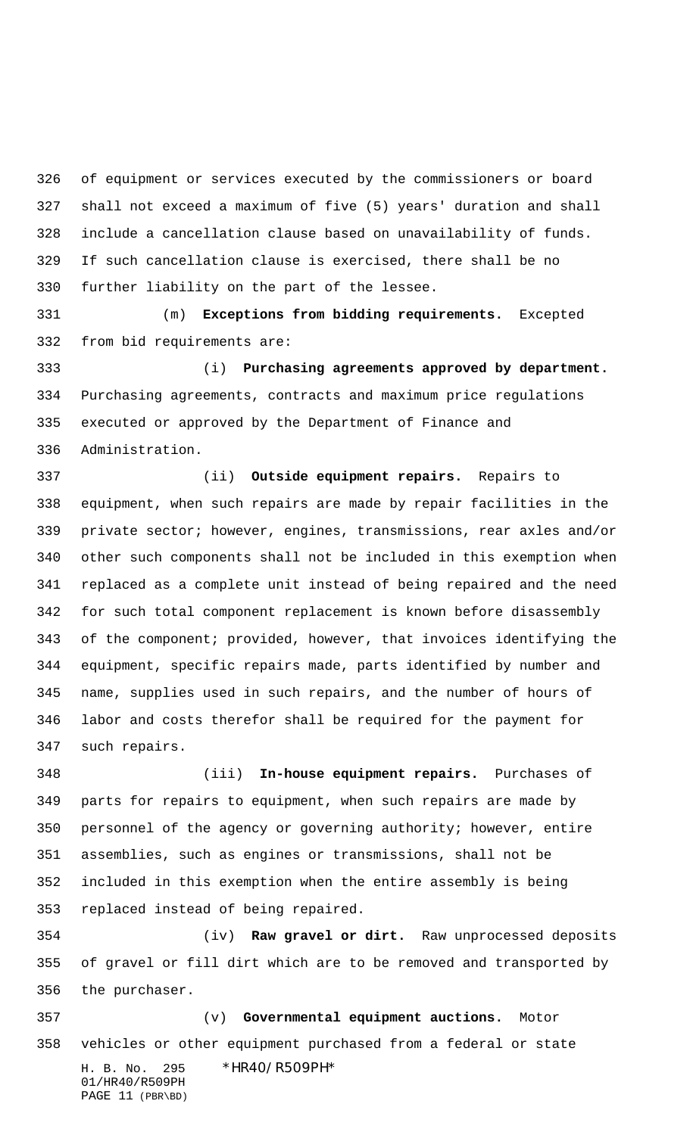of equipment or services executed by the commissioners or board shall not exceed a maximum of five (5) years' duration and shall include a cancellation clause based on unavailability of funds. If such cancellation clause is exercised, there shall be no further liability on the part of the lessee.

 (m) **Exceptions from bidding requirements.** Excepted from bid requirements are:

 (i) **Purchasing agreements approved by department.** Purchasing agreements, contracts and maximum price regulations executed or approved by the Department of Finance and Administration.

 (ii) **Outside equipment repairs.** Repairs to equipment, when such repairs are made by repair facilities in the private sector; however, engines, transmissions, rear axles and/or other such components shall not be included in this exemption when replaced as a complete unit instead of being repaired and the need for such total component replacement is known before disassembly of the component; provided, however, that invoices identifying the equipment, specific repairs made, parts identified by number and name, supplies used in such repairs, and the number of hours of labor and costs therefor shall be required for the payment for such repairs.

 (iii) **In-house equipment repairs.** Purchases of parts for repairs to equipment, when such repairs are made by personnel of the agency or governing authority; however, entire assemblies, such as engines or transmissions, shall not be included in this exemption when the entire assembly is being replaced instead of being repaired.

 (iv) **Raw gravel or dirt.** Raw unprocessed deposits of gravel or fill dirt which are to be removed and transported by the purchaser.

H. B. No. 295 \*HR40/R509PH\* 01/HR40/R509PH PAGE 11 (PBR\BD) (v) **Governmental equipment auctions.** Motor vehicles or other equipment purchased from a federal or state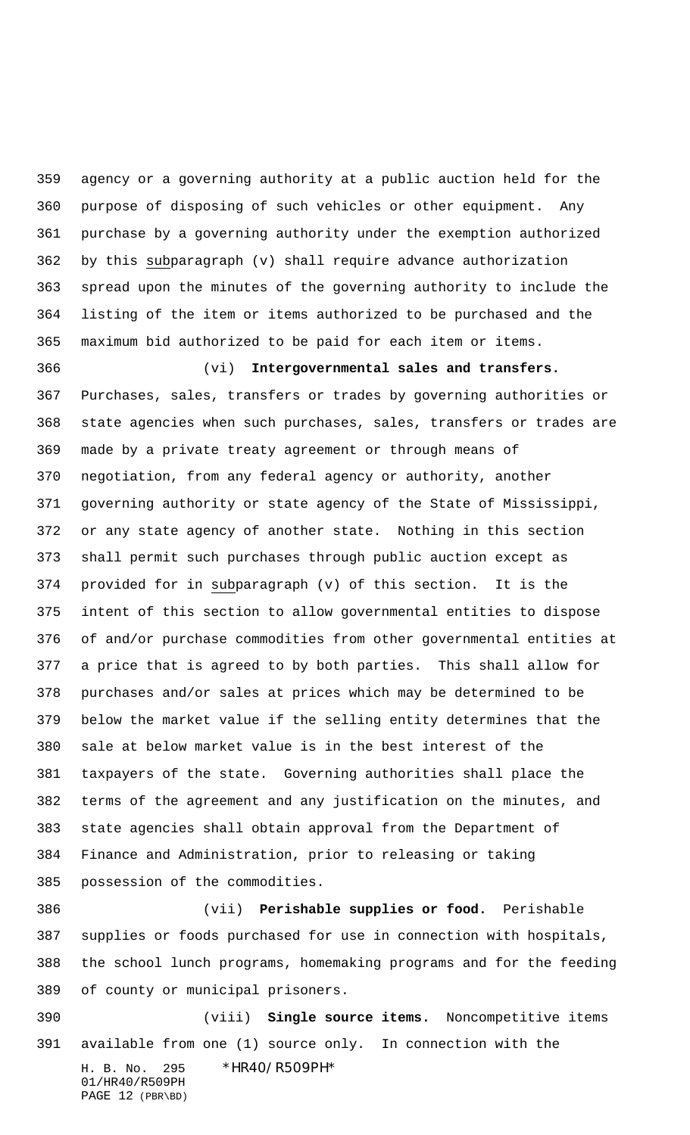agency or a governing authority at a public auction held for the purpose of disposing of such vehicles or other equipment. Any purchase by a governing authority under the exemption authorized by this subparagraph (v) shall require advance authorization spread upon the minutes of the governing authority to include the listing of the item or items authorized to be purchased and the maximum bid authorized to be paid for each item or items.

 (vi) **Intergovernmental sales and transfers.** Purchases, sales, transfers or trades by governing authorities or state agencies when such purchases, sales, transfers or trades are made by a private treaty agreement or through means of negotiation, from any federal agency or authority, another governing authority or state agency of the State of Mississippi, or any state agency of another state. Nothing in this section shall permit such purchases through public auction except as provided for in subparagraph (v) of this section. It is the intent of this section to allow governmental entities to dispose of and/or purchase commodities from other governmental entities at a price that is agreed to by both parties. This shall allow for purchases and/or sales at prices which may be determined to be below the market value if the selling entity determines that the sale at below market value is in the best interest of the taxpayers of the state. Governing authorities shall place the terms of the agreement and any justification on the minutes, and state agencies shall obtain approval from the Department of Finance and Administration, prior to releasing or taking possession of the commodities.

 (vii) **Perishable supplies or food.** Perishable supplies or foods purchased for use in connection with hospitals, the school lunch programs, homemaking programs and for the feeding of county or municipal prisoners.

H. B. No. 295 \*HR40/R509PH\* 01/HR40/R509PH PAGE 12 (PBR\BD) (viii) **Single source items.** Noncompetitive items available from one (1) source only. In connection with the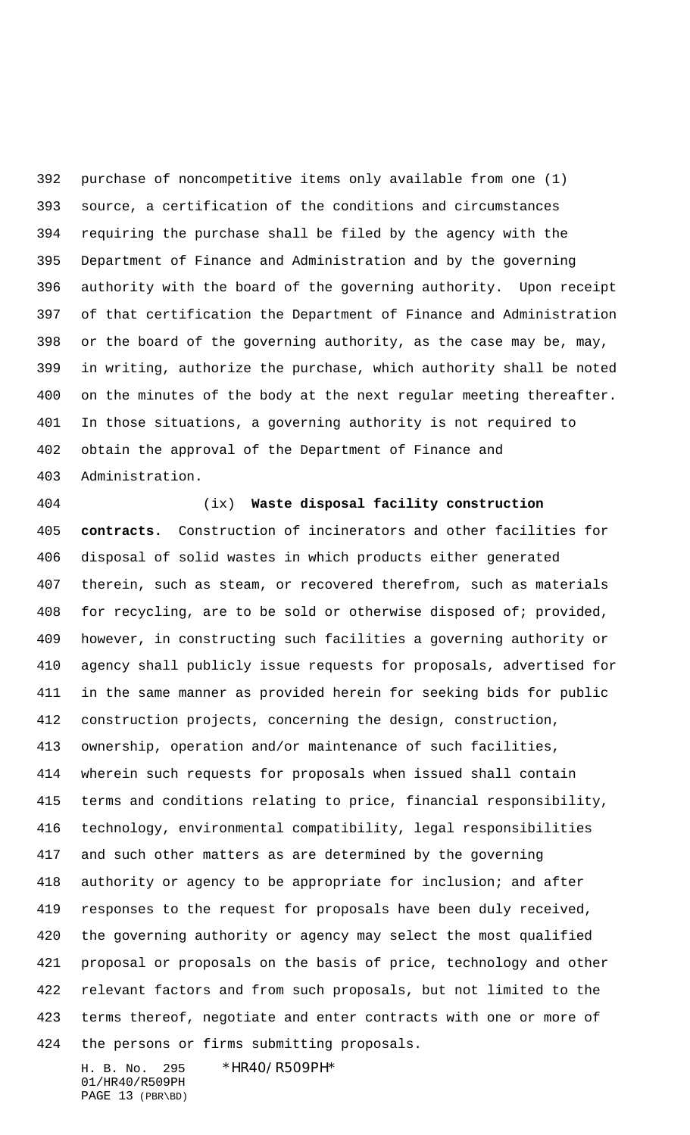purchase of noncompetitive items only available from one (1) source, a certification of the conditions and circumstances requiring the purchase shall be filed by the agency with the Department of Finance and Administration and by the governing authority with the board of the governing authority. Upon receipt of that certification the Department of Finance and Administration or the board of the governing authority, as the case may be, may, in writing, authorize the purchase, which authority shall be noted on the minutes of the body at the next regular meeting thereafter. In those situations, a governing authority is not required to obtain the approval of the Department of Finance and Administration.

 (ix) **Waste disposal facility construction contracts.** Construction of incinerators and other facilities for disposal of solid wastes in which products either generated therein, such as steam, or recovered therefrom, such as materials for recycling, are to be sold or otherwise disposed of; provided, however, in constructing such facilities a governing authority or agency shall publicly issue requests for proposals, advertised for in the same manner as provided herein for seeking bids for public construction projects, concerning the design, construction, ownership, operation and/or maintenance of such facilities, wherein such requests for proposals when issued shall contain terms and conditions relating to price, financial responsibility, technology, environmental compatibility, legal responsibilities and such other matters as are determined by the governing authority or agency to be appropriate for inclusion; and after responses to the request for proposals have been duly received, the governing authority or agency may select the most qualified proposal or proposals on the basis of price, technology and other relevant factors and from such proposals, but not limited to the terms thereof, negotiate and enter contracts with one or more of the persons or firms submitting proposals.

H. B. No. 295 \*HR40/R509PH\* 01/HR40/R509PH PAGE 13 (PBR\BD)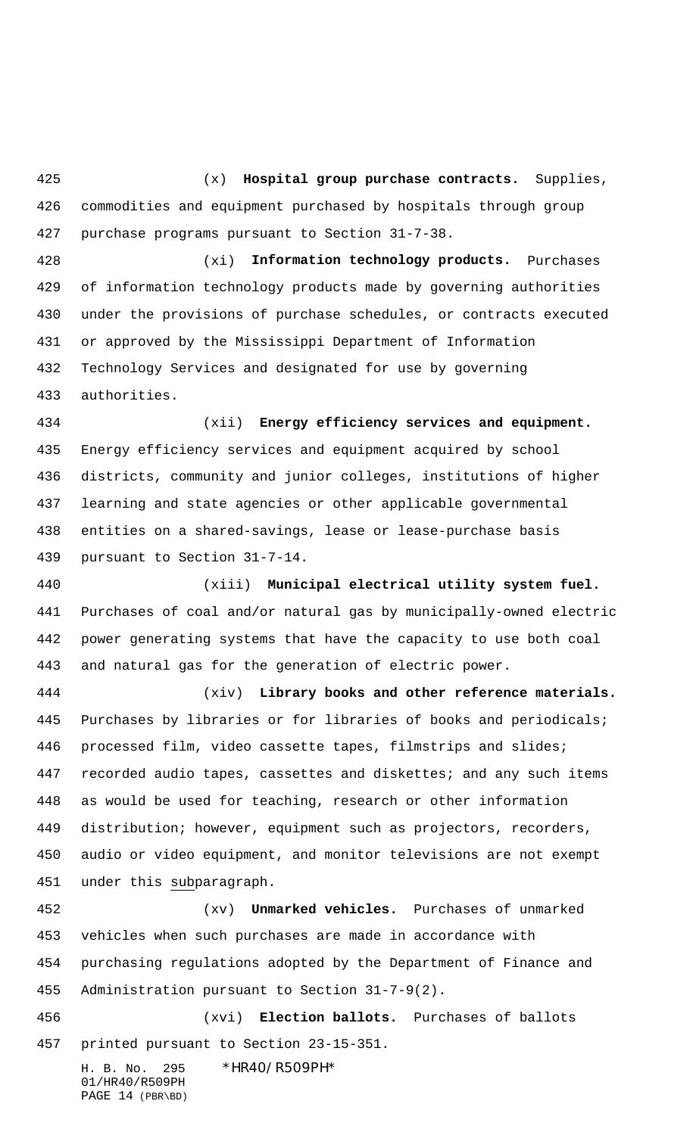(x) **Hospital group purchase contracts.** Supplies, commodities and equipment purchased by hospitals through group purchase programs pursuant to Section 31-7-38.

 (xi) **Information technology products.** Purchases of information technology products made by governing authorities under the provisions of purchase schedules, or contracts executed or approved by the Mississippi Department of Information Technology Services and designated for use by governing authorities.

 (xii) **Energy efficiency services and equipment.** Energy efficiency services and equipment acquired by school districts, community and junior colleges, institutions of higher learning and state agencies or other applicable governmental entities on a shared-savings, lease or lease-purchase basis pursuant to Section 31-7-14.

 (xiii) **Municipal electrical utility system fuel.** Purchases of coal and/or natural gas by municipally-owned electric power generating systems that have the capacity to use both coal and natural gas for the generation of electric power.

 (xiv) **Library books and other reference materials.** Purchases by libraries or for libraries of books and periodicals; processed film, video cassette tapes, filmstrips and slides; recorded audio tapes, cassettes and diskettes; and any such items as would be used for teaching, research or other information distribution; however, equipment such as projectors, recorders, audio or video equipment, and monitor televisions are not exempt under this subparagraph.

 (xv) **Unmarked vehicles.** Purchases of unmarked vehicles when such purchases are made in accordance with purchasing regulations adopted by the Department of Finance and Administration pursuant to Section 31-7-9(2).

 (xvi) **Election ballots.** Purchases of ballots printed pursuant to Section 23-15-351.

H. B. No. 295 \*HR40/R509PH\* 01/HR40/R509PH PAGE 14 (PBR\BD)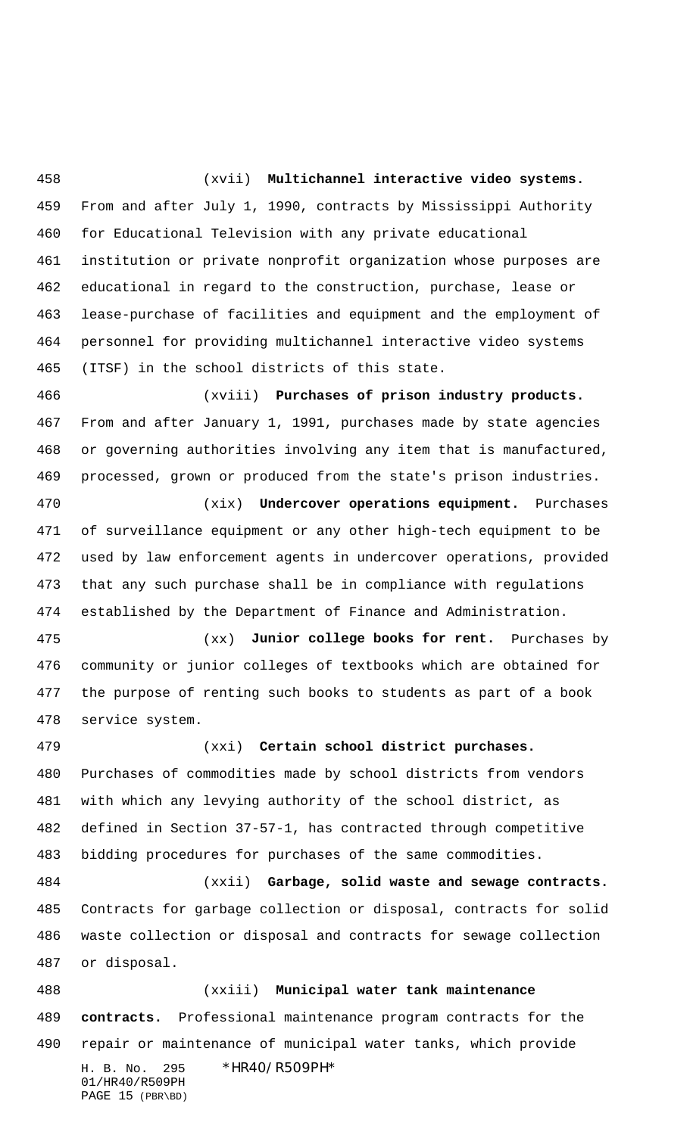(xvii) **Multichannel interactive video systems.** From and after July 1, 1990, contracts by Mississippi Authority for Educational Television with any private educational institution or private nonprofit organization whose purposes are educational in regard to the construction, purchase, lease or lease-purchase of facilities and equipment and the employment of personnel for providing multichannel interactive video systems (ITSF) in the school districts of this state.

 (xviii) **Purchases of prison industry products.** From and after January 1, 1991, purchases made by state agencies or governing authorities involving any item that is manufactured, processed, grown or produced from the state's prison industries.

 (xix) **Undercover operations equipment.** Purchases of surveillance equipment or any other high-tech equipment to be used by law enforcement agents in undercover operations, provided that any such purchase shall be in compliance with regulations established by the Department of Finance and Administration.

 (xx) **Junior college books for rent.** Purchases by community or junior colleges of textbooks which are obtained for the purpose of renting such books to students as part of a book service system.

 (xxi) **Certain school district purchases.** Purchases of commodities made by school districts from vendors with which any levying authority of the school district, as defined in Section 37-57-1, has contracted through competitive bidding procedures for purchases of the same commodities.

 (xxii) **Garbage, solid waste and sewage contracts.** Contracts for garbage collection or disposal, contracts for solid waste collection or disposal and contracts for sewage collection or disposal.

H. B. No. 295 \*HR40/R509PH\* 01/HR40/R509PH PAGE 15 (PBR\BD) (xxiii) **Municipal water tank maintenance contracts.** Professional maintenance program contracts for the repair or maintenance of municipal water tanks, which provide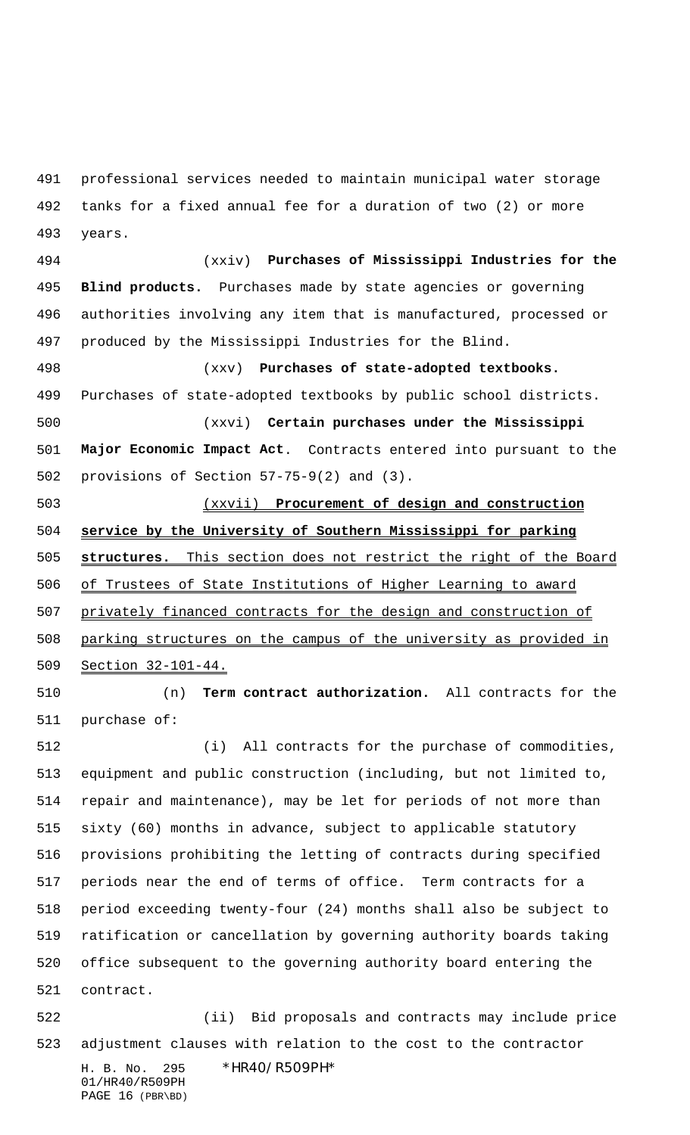professional services needed to maintain municipal water storage tanks for a fixed annual fee for a duration of two (2) or more years.

 (xxiv) **Purchases of Mississippi Industries for the Blind products.** Purchases made by state agencies or governing authorities involving any item that is manufactured, processed or produced by the Mississippi Industries for the Blind.

 (xxv) **Purchases of state-adopted textbooks.** Purchases of state-adopted textbooks by public school districts. (xxvi) **Certain purchases under the Mississippi Major Economic Impact Act**. Contracts entered into pursuant to the

provisions of Section 57-75-9(2) and (3).

 (xxvii) **Procurement of design and construction service by the University of Southern Mississippi for parking structures.** This section does not restrict the right of the Board of Trustees of State Institutions of Higher Learning to award privately financed contracts for the design and construction of parking structures on the campus of the university as provided in Section 32-101-44.

 (n) **Term contract authorization.** All contracts for the purchase of:

 (i) All contracts for the purchase of commodities, equipment and public construction (including, but not limited to, repair and maintenance), may be let for periods of not more than sixty (60) months in advance, subject to applicable statutory provisions prohibiting the letting of contracts during specified periods near the end of terms of office. Term contracts for a period exceeding twenty-four (24) months shall also be subject to ratification or cancellation by governing authority boards taking office subsequent to the governing authority board entering the contract.

 (ii) Bid proposals and contracts may include price adjustment clauses with relation to the cost to the contractor

H. B. No. 295 \*HR40/R509PH\* 01/HR40/R509PH PAGE 16 (PBR\BD)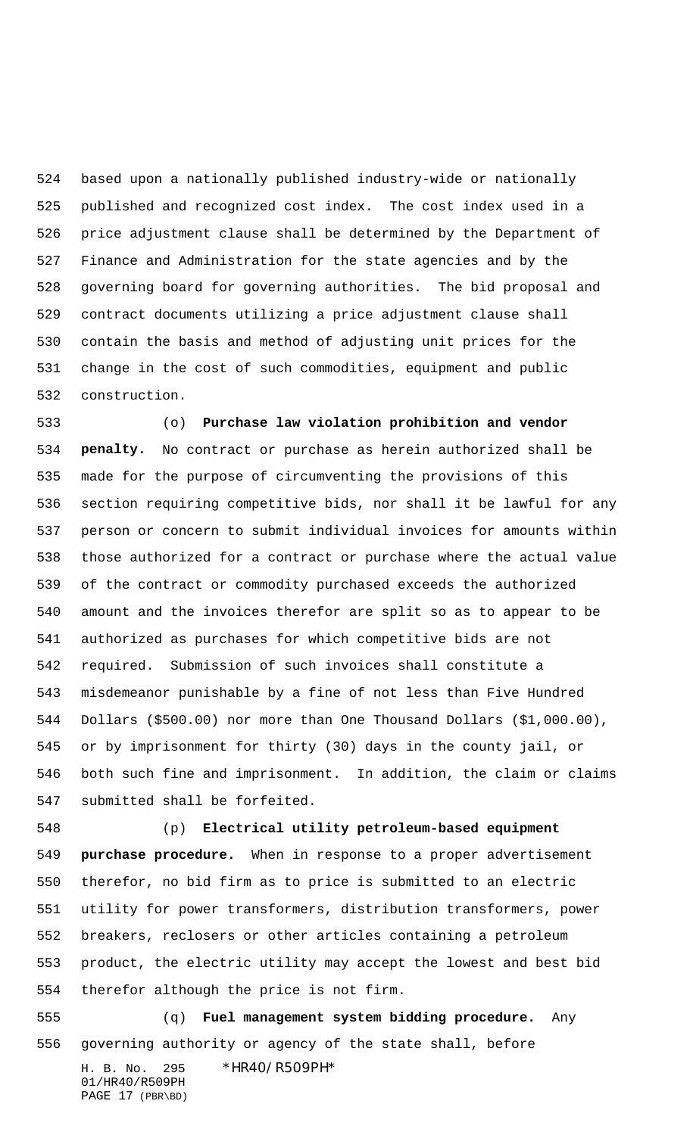based upon a nationally published industry-wide or nationally published and recognized cost index. The cost index used in a price adjustment clause shall be determined by the Department of Finance and Administration for the state agencies and by the governing board for governing authorities. The bid proposal and contract documents utilizing a price adjustment clause shall contain the basis and method of adjusting unit prices for the change in the cost of such commodities, equipment and public construction.

 (o) **Purchase law violation prohibition and vendor penalty.** No contract or purchase as herein authorized shall be made for the purpose of circumventing the provisions of this section requiring competitive bids, nor shall it be lawful for any person or concern to submit individual invoices for amounts within those authorized for a contract or purchase where the actual value of the contract or commodity purchased exceeds the authorized amount and the invoices therefor are split so as to appear to be authorized as purchases for which competitive bids are not required. Submission of such invoices shall constitute a misdemeanor punishable by a fine of not less than Five Hundred Dollars (\$500.00) nor more than One Thousand Dollars (\$1,000.00), or by imprisonment for thirty (30) days in the county jail, or both such fine and imprisonment. In addition, the claim or claims submitted shall be forfeited.

 (p) **Electrical utility petroleum-based equipment purchase procedure.** When in response to a proper advertisement therefor, no bid firm as to price is submitted to an electric utility for power transformers, distribution transformers, power breakers, reclosers or other articles containing a petroleum product, the electric utility may accept the lowest and best bid therefor although the price is not firm.

 (q) **Fuel management system bidding procedure.** Any governing authority or agency of the state shall, before

H. B. No. 295 \*HR40/R509PH\* 01/HR40/R509PH PAGE 17 (PBR\BD)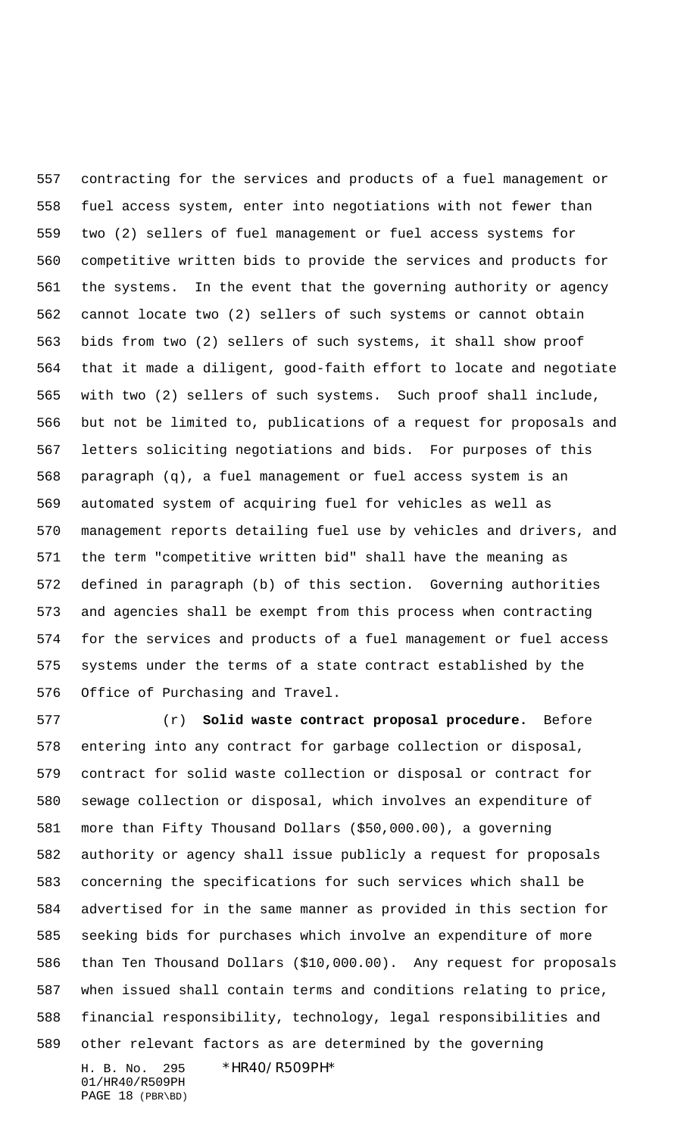contracting for the services and products of a fuel management or fuel access system, enter into negotiations with not fewer than two (2) sellers of fuel management or fuel access systems for competitive written bids to provide the services and products for the systems. In the event that the governing authority or agency cannot locate two (2) sellers of such systems or cannot obtain bids from two (2) sellers of such systems, it shall show proof that it made a diligent, good-faith effort to locate and negotiate with two (2) sellers of such systems. Such proof shall include, but not be limited to, publications of a request for proposals and letters soliciting negotiations and bids. For purposes of this paragraph (q), a fuel management or fuel access system is an automated system of acquiring fuel for vehicles as well as management reports detailing fuel use by vehicles and drivers, and the term "competitive written bid" shall have the meaning as defined in paragraph (b) of this section. Governing authorities and agencies shall be exempt from this process when contracting for the services and products of a fuel management or fuel access systems under the terms of a state contract established by the Office of Purchasing and Travel.

 (r) **Solid waste contract proposal procedure.** Before entering into any contract for garbage collection or disposal, contract for solid waste collection or disposal or contract for sewage collection or disposal, which involves an expenditure of more than Fifty Thousand Dollars (\$50,000.00), a governing authority or agency shall issue publicly a request for proposals concerning the specifications for such services which shall be advertised for in the same manner as provided in this section for seeking bids for purchases which involve an expenditure of more than Ten Thousand Dollars (\$10,000.00). Any request for proposals when issued shall contain terms and conditions relating to price, financial responsibility, technology, legal responsibilities and other relevant factors as are determined by the governing

H. B. No. 295 \*HR40/R509PH\* 01/HR40/R509PH PAGE 18 (PBR\BD)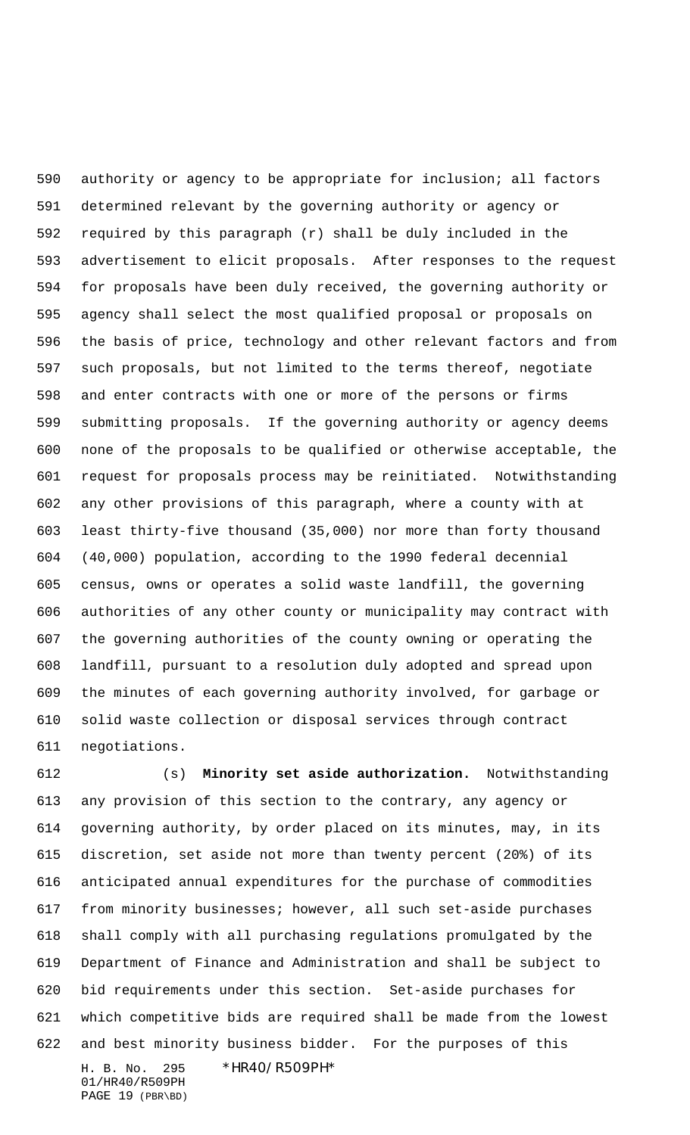authority or agency to be appropriate for inclusion; all factors determined relevant by the governing authority or agency or required by this paragraph (r) shall be duly included in the advertisement to elicit proposals. After responses to the request for proposals have been duly received, the governing authority or agency shall select the most qualified proposal or proposals on the basis of price, technology and other relevant factors and from such proposals, but not limited to the terms thereof, negotiate and enter contracts with one or more of the persons or firms submitting proposals. If the governing authority or agency deems none of the proposals to be qualified or otherwise acceptable, the request for proposals process may be reinitiated. Notwithstanding any other provisions of this paragraph, where a county with at least thirty-five thousand (35,000) nor more than forty thousand (40,000) population, according to the 1990 federal decennial census, owns or operates a solid waste landfill, the governing authorities of any other county or municipality may contract with the governing authorities of the county owning or operating the landfill, pursuant to a resolution duly adopted and spread upon the minutes of each governing authority involved, for garbage or solid waste collection or disposal services through contract negotiations.

H. B. No. 295 \*HR40/R509PH\* (s) **Minority set aside authorization.** Notwithstanding any provision of this section to the contrary, any agency or governing authority, by order placed on its minutes, may, in its discretion, set aside not more than twenty percent (20%) of its anticipated annual expenditures for the purchase of commodities from minority businesses; however, all such set-aside purchases shall comply with all purchasing regulations promulgated by the Department of Finance and Administration and shall be subject to bid requirements under this section. Set-aside purchases for which competitive bids are required shall be made from the lowest and best minority business bidder. For the purposes of this

01/HR40/R509PH PAGE 19 (PBR\BD)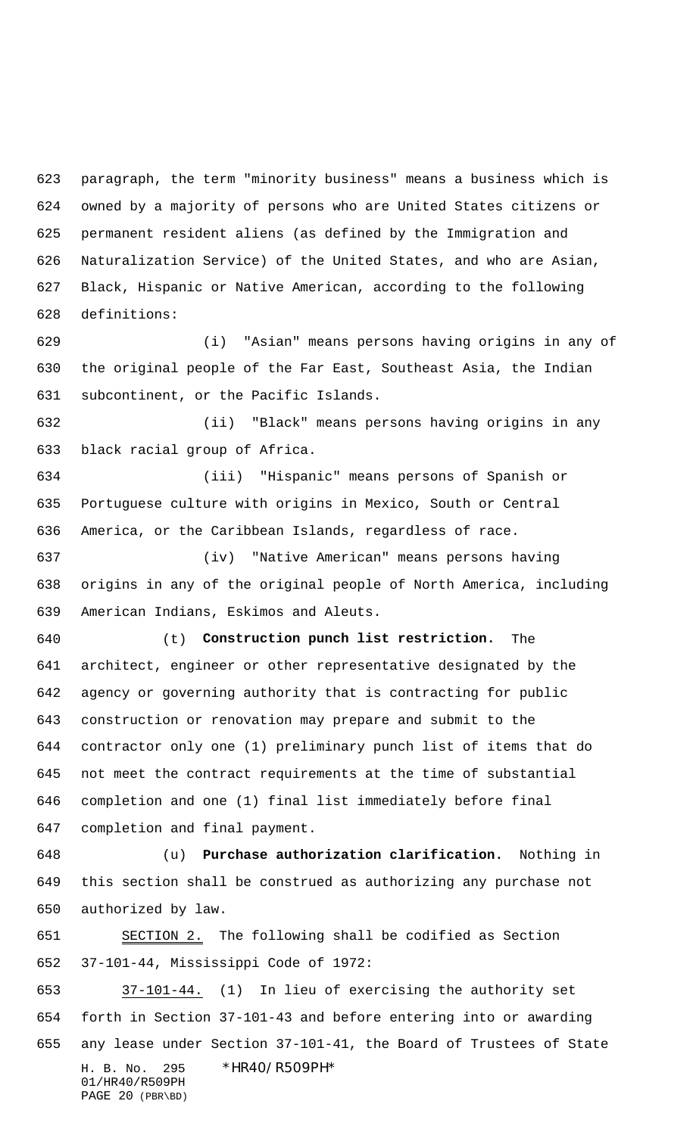paragraph, the term "minority business" means a business which is owned by a majority of persons who are United States citizens or permanent resident aliens (as defined by the Immigration and Naturalization Service) of the United States, and who are Asian, Black, Hispanic or Native American, according to the following definitions:

 (i) "Asian" means persons having origins in any of the original people of the Far East, Southeast Asia, the Indian subcontinent, or the Pacific Islands.

 (ii) "Black" means persons having origins in any black racial group of Africa.

 (iii) "Hispanic" means persons of Spanish or Portuguese culture with origins in Mexico, South or Central America, or the Caribbean Islands, regardless of race.

 (iv) "Native American" means persons having origins in any of the original people of North America, including American Indians, Eskimos and Aleuts.

 (t) **Construction punch list restriction.** The architect, engineer or other representative designated by the agency or governing authority that is contracting for public construction or renovation may prepare and submit to the contractor only one (1) preliminary punch list of items that do not meet the contract requirements at the time of substantial completion and one (1) final list immediately before final completion and final payment.

 (u) **Purchase authorization clarification.** Nothing in this section shall be construed as authorizing any purchase not authorized by law.

651 SECTION 2. The following shall be codified as Section 37-101-44, Mississippi Code of 1972:

H. B. No. 295 \*HR40/R509PH\* 01/HR40/R509PH PAGE 20 (PBR\BD) 37-101-44. (1) In lieu of exercising the authority set forth in Section 37-101-43 and before entering into or awarding any lease under Section 37-101-41, the Board of Trustees of State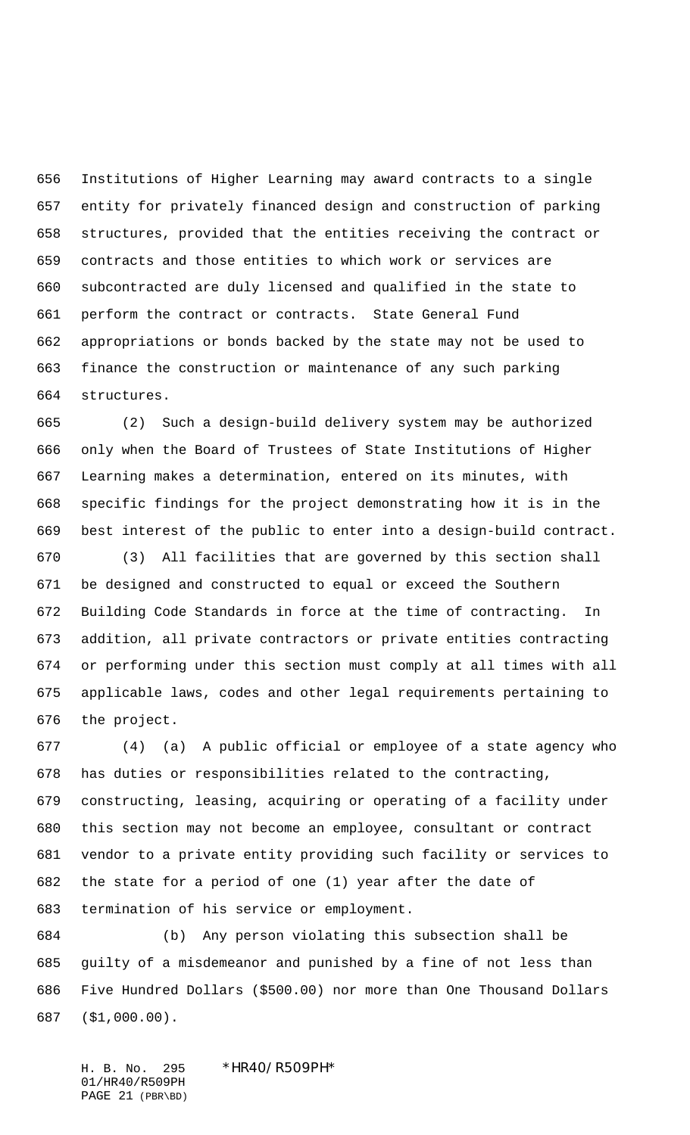Institutions of Higher Learning may award contracts to a single entity for privately financed design and construction of parking structures, provided that the entities receiving the contract or contracts and those entities to which work or services are subcontracted are duly licensed and qualified in the state to perform the contract or contracts. State General Fund appropriations or bonds backed by the state may not be used to finance the construction or maintenance of any such parking structures.

 (2) Such a design-build delivery system may be authorized only when the Board of Trustees of State Institutions of Higher Learning makes a determination, entered on its minutes, with specific findings for the project demonstrating how it is in the best interest of the public to enter into a design-build contract.

 (3) All facilities that are governed by this section shall be designed and constructed to equal or exceed the Southern Building Code Standards in force at the time of contracting. In addition, all private contractors or private entities contracting or performing under this section must comply at all times with all applicable laws, codes and other legal requirements pertaining to the project.

 (4) (a) A public official or employee of a state agency who has duties or responsibilities related to the contracting, constructing, leasing, acquiring or operating of a facility under this section may not become an employee, consultant or contract vendor to a private entity providing such facility or services to the state for a period of one (1) year after the date of termination of his service or employment.

 (b) Any person violating this subsection shall be guilty of a misdemeanor and punished by a fine of not less than Five Hundred Dollars (\$500.00) nor more than One Thousand Dollars (\$1,000.00).

H. B. No. 295 \*HR40/R509PH\* 01/HR40/R509PH PAGE 21 (PBR\BD)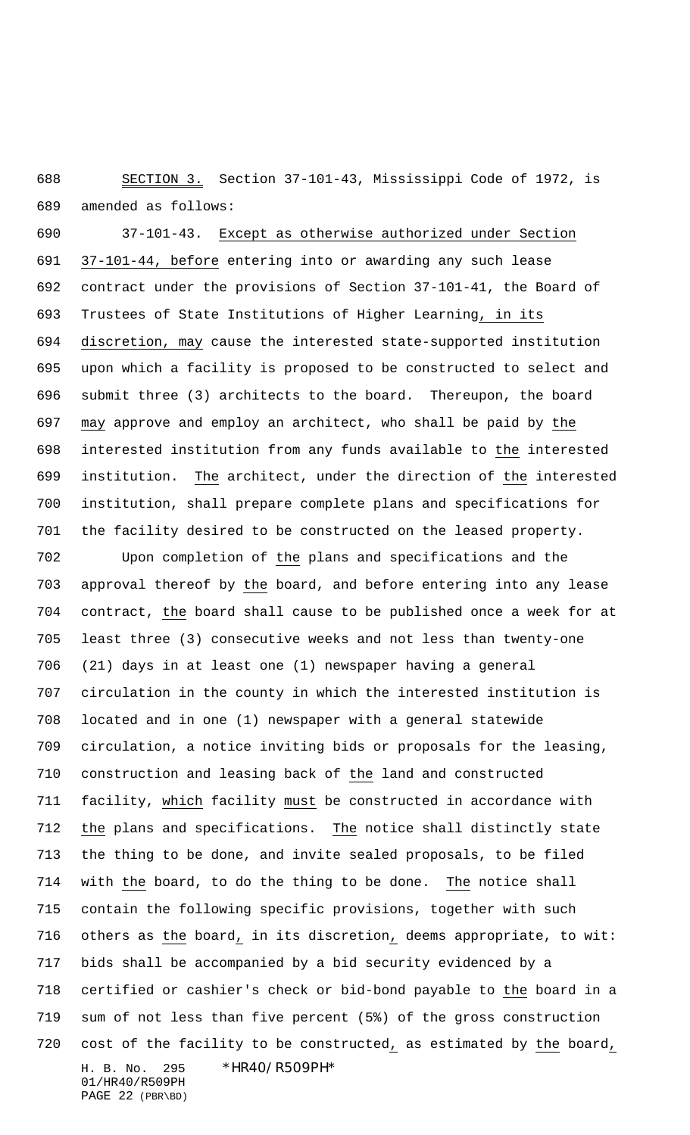SECTION 3. Section 37-101-43, Mississippi Code of 1972, is amended as follows:

 37-101-43. Except as otherwise authorized under Section 37-101-44, before entering into or awarding any such lease contract under the provisions of Section 37-101-41, the Board of Trustees of State Institutions of Higher Learning, in its discretion, may cause the interested state-supported institution upon which a facility is proposed to be constructed to select and submit three (3) architects to the board. Thereupon, the board may approve and employ an architect, who shall be paid by the interested institution from any funds available to the interested institution. The architect, under the direction of the interested institution, shall prepare complete plans and specifications for the facility desired to be constructed on the leased property.

H. B. No. 295 \*HR40/R509PH\* 01/HR40/R509PH Upon completion of the plans and specifications and the approval thereof by the board, and before entering into any lease contract, the board shall cause to be published once a week for at least three (3) consecutive weeks and not less than twenty-one (21) days in at least one (1) newspaper having a general circulation in the county in which the interested institution is located and in one (1) newspaper with a general statewide circulation, a notice inviting bids or proposals for the leasing, construction and leasing back of the land and constructed facility, which facility must be constructed in accordance with the plans and specifications. The notice shall distinctly state the thing to be done, and invite sealed proposals, to be filed with the board, to do the thing to be done. The notice shall contain the following specific provisions, together with such others as the board, in its discretion, deems appropriate, to wit: bids shall be accompanied by a bid security evidenced by a certified or cashier's check or bid-bond payable to the board in a sum of not less than five percent (5%) of the gross construction cost of the facility to be constructed, as estimated by the board,

```
PAGE 22 (PBR\BD)
```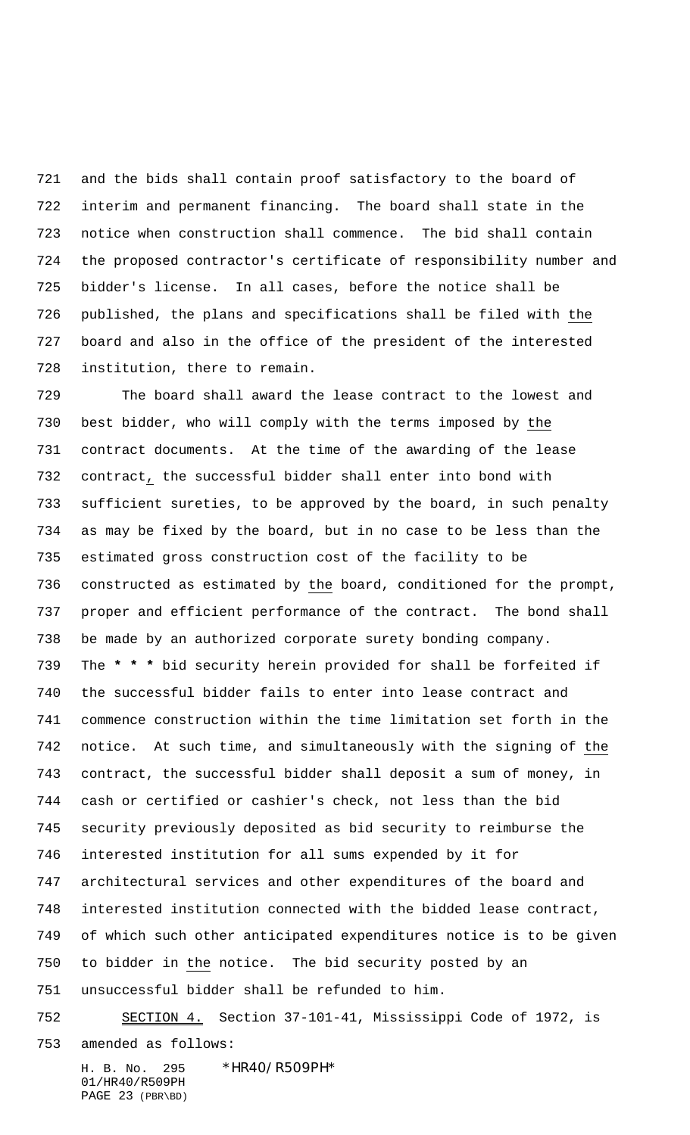and the bids shall contain proof satisfactory to the board of interim and permanent financing. The board shall state in the notice when construction shall commence. The bid shall contain the proposed contractor's certificate of responsibility number and bidder's license. In all cases, before the notice shall be published, the plans and specifications shall be filed with the board and also in the office of the president of the interested institution, there to remain.

 The board shall award the lease contract to the lowest and best bidder, who will comply with the terms imposed by the contract documents. At the time of the awarding of the lease contract, the successful bidder shall enter into bond with sufficient sureties, to be approved by the board, in such penalty as may be fixed by the board, but in no case to be less than the estimated gross construction cost of the facility to be constructed as estimated by the board, conditioned for the prompt, proper and efficient performance of the contract. The bond shall be made by an authorized corporate surety bonding company. The **\* \* \*** bid security herein provided for shall be forfeited if the successful bidder fails to enter into lease contract and commence construction within the time limitation set forth in the 742 notice. At such time, and simultaneously with the signing of the contract, the successful bidder shall deposit a sum of money, in cash or certified or cashier's check, not less than the bid security previously deposited as bid security to reimburse the interested institution for all sums expended by it for architectural services and other expenditures of the board and interested institution connected with the bidded lease contract, of which such other anticipated expenditures notice is to be given to bidder in the notice. The bid security posted by an unsuccessful bidder shall be refunded to him. SECTION 4. Section 37-101-41, Mississippi Code of 1972, is

amended as follows:

H. B. No. 295 \*HR40/R509PH\* 01/HR40/R509PH PAGE 23 (PBR\BD)